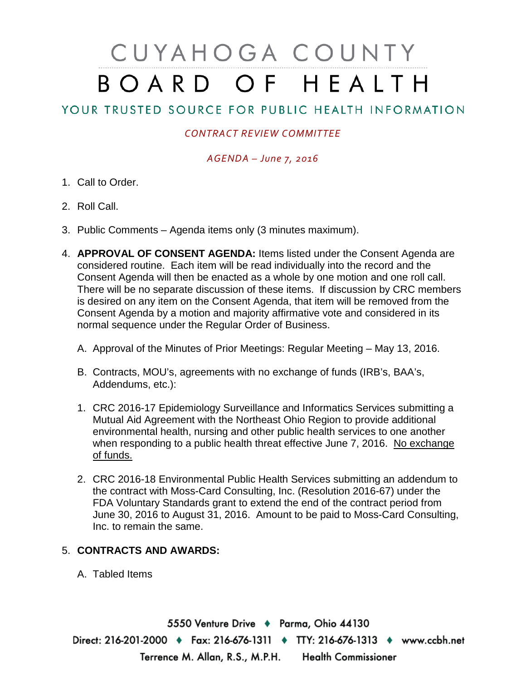# CUYAHOGA COUNTY BOARD OF HEALTH

# YOUR TRUSTED SOURCE FOR PUBLIC HEALTH INFORMATION

## *CONTRACT REVIEW COMMITTEE*

### *AGENDA – June 7, 2016*

- 1. Call to Order.
- 2. Roll Call.
- 3. Public Comments Agenda items only (3 minutes maximum).
- 4. **APPROVAL OF CONSENT AGENDA:** Items listed under the Consent Agenda are considered routine. Each item will be read individually into the record and the Consent Agenda will then be enacted as a whole by one motion and one roll call. There will be no separate discussion of these items. If discussion by CRC members is desired on any item on the Consent Agenda, that item will be removed from the Consent Agenda by a motion and majority affirmative vote and considered in its normal sequence under the Regular Order of Business.
	- A. Approval of the Minutes of Prior Meetings: Regular Meeting May 13, 2016.
	- B. Contracts, MOU's, agreements with no exchange of funds (IRB's, BAA's, Addendums, etc.):
	- 1. CRC 2016-17 Epidemiology Surveillance and Informatics Services submitting a Mutual Aid Agreement with the Northeast Ohio Region to provide additional environmental health, nursing and other public health services to one another when responding to a public health threat effective June 7, 2016. No exchange of funds.
	- 2. CRC 2016-18 Environmental Public Health Services submitting an addendum to the contract with Moss-Card Consulting, Inc. (Resolution 2016-67) under the FDA Voluntary Standards grant to extend the end of the contract period from June 30, 2016 to August 31, 2016. Amount to be paid to Moss-Card Consulting, Inc. to remain the same.

### 5. **CONTRACTS AND AWARDS:**

A. Tabled Items

5550 Venture Drive + Parma, Ohio 44130 Direct: 216-201-2000 • Fax: 216-676-1311 • TTY: 216-676-1313 • www.ccbh.net Terrence M. Allan, R.S., M.P.H. Health Commissioner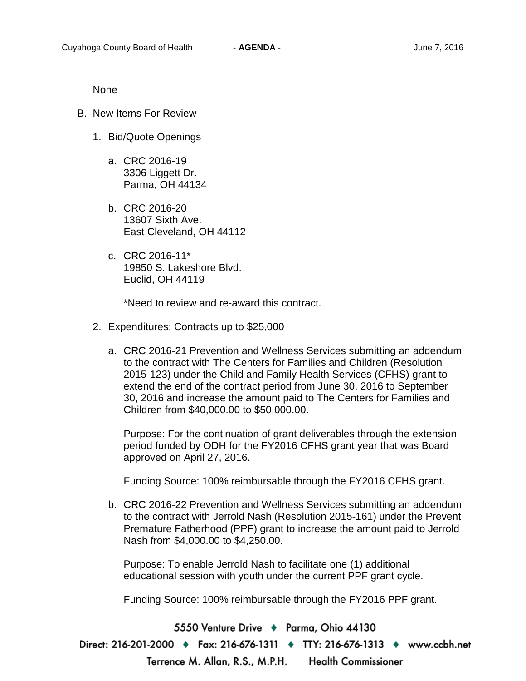None

- B. New Items For Review
	- 1. Bid/Quote Openings
		- a. CRC 2016-19 3306 Liggett Dr. Parma, OH 44134
		- b. CRC 2016-20 13607 Sixth Ave. East Cleveland, OH 44112
		- c. CRC 2016-11\* 19850 S. Lakeshore Blvd. Euclid, OH 44119

\*Need to review and re-award this contract.

- 2. Expenditures: Contracts up to \$25,000
	- a. CRC 2016-21 Prevention and Wellness Services submitting an addendum to the contract with The Centers for Families and Children (Resolution 2015-123) under the Child and Family Health Services (CFHS) grant to extend the end of the contract period from June 30, 2016 to September 30, 2016 and increase the amount paid to The Centers for Families and Children from \$40,000.00 to \$50,000.00.

Purpose: For the continuation of grant deliverables through the extension period funded by ODH for the FY2016 CFHS grant year that was Board approved on April 27, 2016.

Funding Source: 100% reimbursable through the FY2016 CFHS grant.

b. CRC 2016-22 Prevention and Wellness Services submitting an addendum to the contract with Jerrold Nash (Resolution 2015-161) under the Prevent Premature Fatherhood (PPF) grant to increase the amount paid to Jerrold Nash from \$4,000.00 to \$4,250.00.

Purpose: To enable Jerrold Nash to facilitate one (1) additional educational session with youth under the current PPF grant cycle.

Funding Source: 100% reimbursable through the FY2016 PPF grant.

5550 Venture Drive + Parma, Ohio 44130

Direct: 216-201-2000 ♦ Fax: 216-676-1311 ♦ TTY: 216-676-1313 ♦ www.ccbh.net Terrence M. Allan, R.S., M.P.H. Health Commissioner